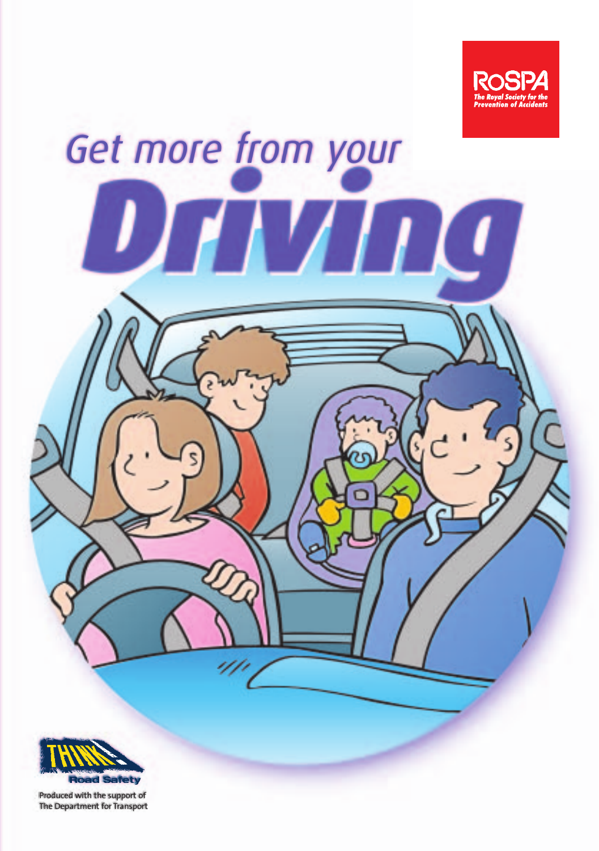

# Get more from your <u> ЛИИГ</u> **Road Safety** Produced with the support of

The Department for Transport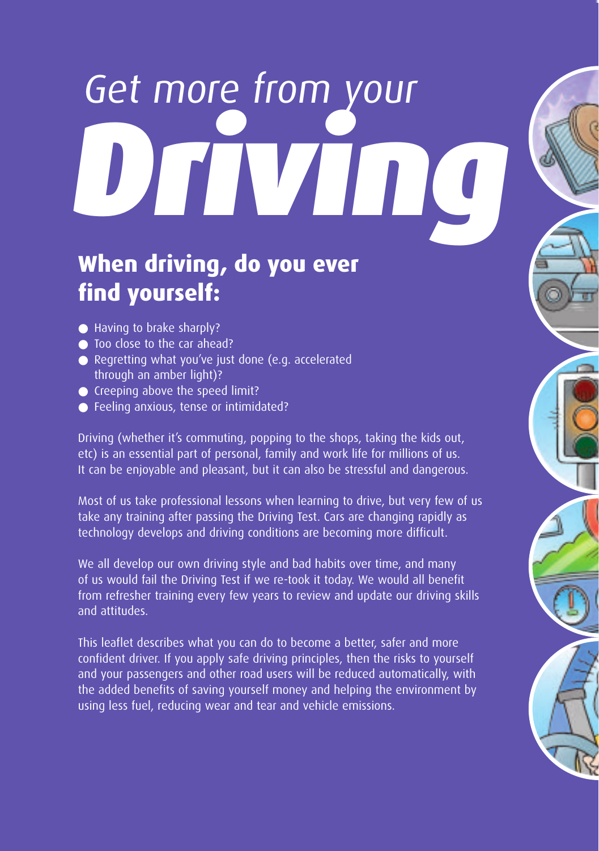# D**riving** Get more from your

## **When driving, do you ever find yourself:**

- Having to brake sharply?
- Too close to the car ahead?
- Regretting what you've just done (e.g. accelerated through an amber light)?
- Creeping above the speed limit?
- Feeling anxious, tense or intimidated?

Driving (whether it's commuting, popping to the shops, taking the kids out, etc) is an essential part of personal, family and work life for millions of us. It can be enjoyable and pleasant, but it can also be stressful and dangerous.

Most of us take professional lessons when learning to drive, but very few of us take any training after passing the Driving Test. Cars are changing rapidly as technology develops and driving conditions are becoming more difficult.

We all develop our own driving style and bad habits over time, and many of us would fail the Driving Test if we re-took it today. We would all benefit from refresher training every few years to review and update our driving skills and attitudes.

This leaflet describes what you can do to become a better, safer and more confident driver. If you apply safe driving principles, then the risks to yourself and your passengers and other road users will be reduced automatically, with the added benefits of saving yourself money and helping the environment by using less fuel, reducing wear and tear and vehicle emissions.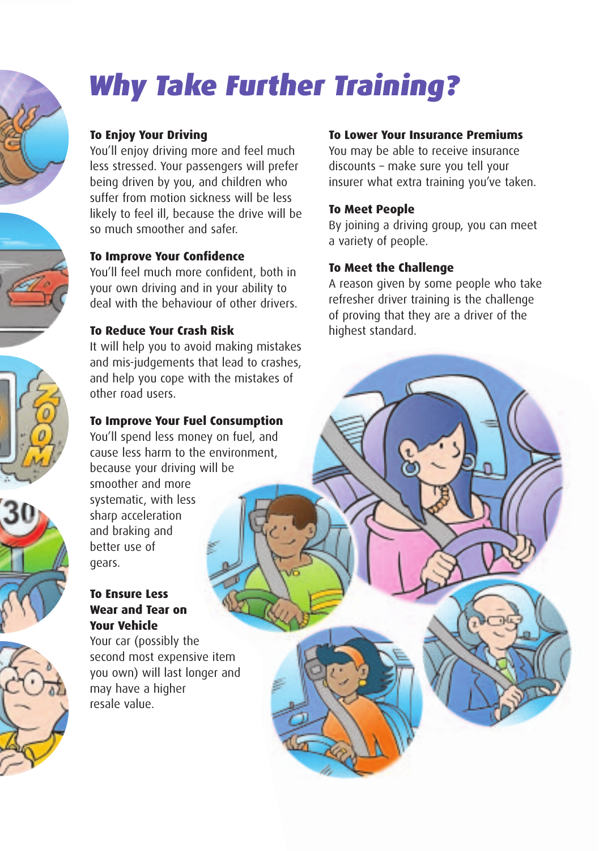







# Why Take Further Training?

#### **To Enjoy Your Driving**

You'll enjoy driving more and feel much less stressed. Your passengers will prefer being driven by you, and children who suffer from motion sickness will be less likely to feel ill, because the drive will be so much smoother and safer.

#### **To Improve Your Confidence**

You'll feel much more confident, both in your own driving and in your ability to deal with the behaviour of other drivers.

#### **To Reduce Your Crash Risk**

It will help you to avoid making mistakes and mis-judgements that lead to crashes, and help you cope with the mistakes of other road users.

#### **To Improve Your Fuel Consumption**

You'll spend less money on fuel, and cause less harm to the environment, because your driving will be smoother and more

systematic, with less sharp acceleration and braking and better use of gears.

#### **To Ensure Less Wear and Tear on Your Vehicle**

Your car (possibly the second most expensive item you own) will last longer and may have a higher resale value.

#### **To Lower Your Insurance Premiums**

You may be able to receive insurance discounts – make sure you tell your insurer what extra training you've taken.

#### **To Meet People**

By joining a driving group, you can meet a variety of people.

#### **To Meet the Challenge**

A reason given by some people who take refresher driver training is the challenge of proving that they are a driver of the highest standard.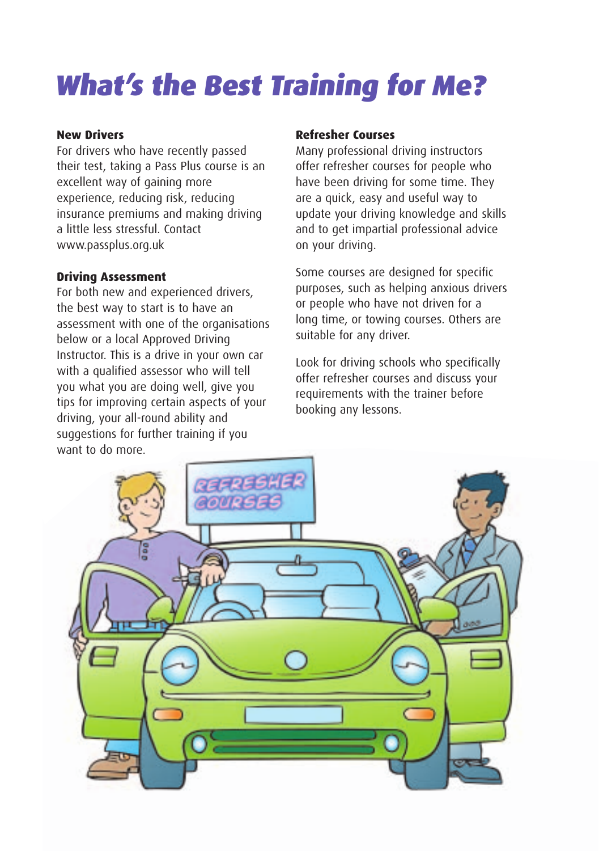# What's the Best Training for Me?

#### **New Drivers**

For drivers who have recently passed their test, taking a Pass Plus course is an excellent way of gaining more experience, reducing risk, reducing insurance premiums and making driving a little less stressful. Contact www.passplus.org.uk

#### **Driving Assessment**

For both new and experienced drivers, the best way to start is to have an assessment with one of the organisations below or a local Approved Driving Instructor. This is a drive in your own car with a qualified assessor who will tell you what you are doing well, give you tips for improving certain aspects of your driving, your all-round ability and suggestions for further training if you want to do more.

#### **Refresher Courses**

Many professional driving instructors offer refresher courses for people who have been driving for some time. They are a quick, easy and useful way to update your driving knowledge and skills and to get impartial professional advice on your driving.

Some courses are designed for specific purposes, such as helping anxious drivers or people who have not driven for a long time, or towing courses. Others are suitable for any driver.

Look for driving schools who specifically offer refresher courses and discuss your requirements with the trainer before booking any lessons.

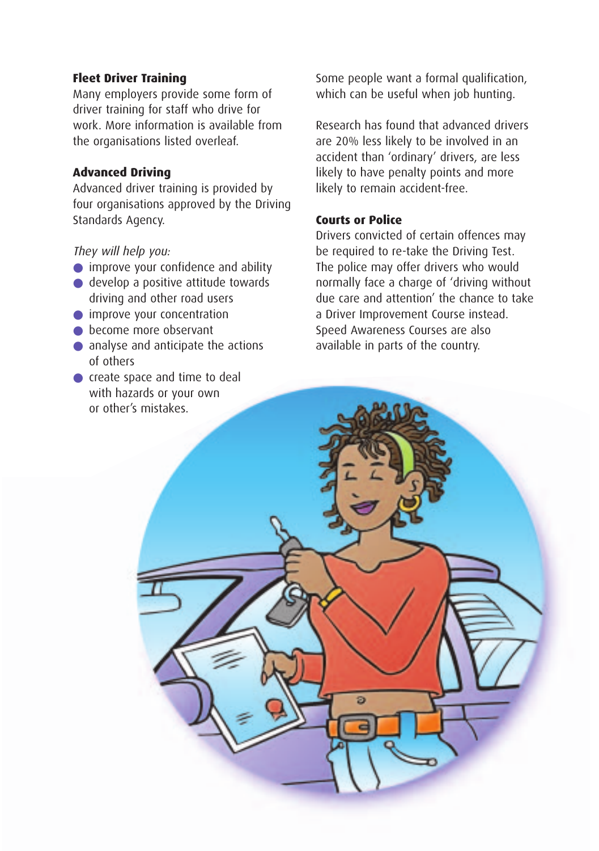#### **Fleet Driver Training**

Many employers provide some form of driver training for staff who drive for work. More information is available from the organisations listed overleaf.

#### **Advanced Driving**

Advanced driver training is provided by four organisations approved by the Driving Standards Agency.

They will help you:

- improve your confidence and ability
- develop a positive attitude towards driving and other road users
- improve your concentration
- become more observant
- analyse and anticipate the actions of others
- create space and time to deal with hazards or your own or other's mistakes.

Some people want a formal qualification, which can be useful when job hunting.

Research has found that advanced drivers are 20% less likely to be involved in an accident than 'ordinary' drivers, are less likely to have penalty points and more likely to remain accident-free.

#### **Courts or Police**

Drivers convicted of certain offences may be required to re-take the Driving Test. The police may offer drivers who would normally face a charge of 'driving without due care and attention' the chance to take a Driver Improvement Course instead. Speed Awareness Courses are also available in parts of the country.